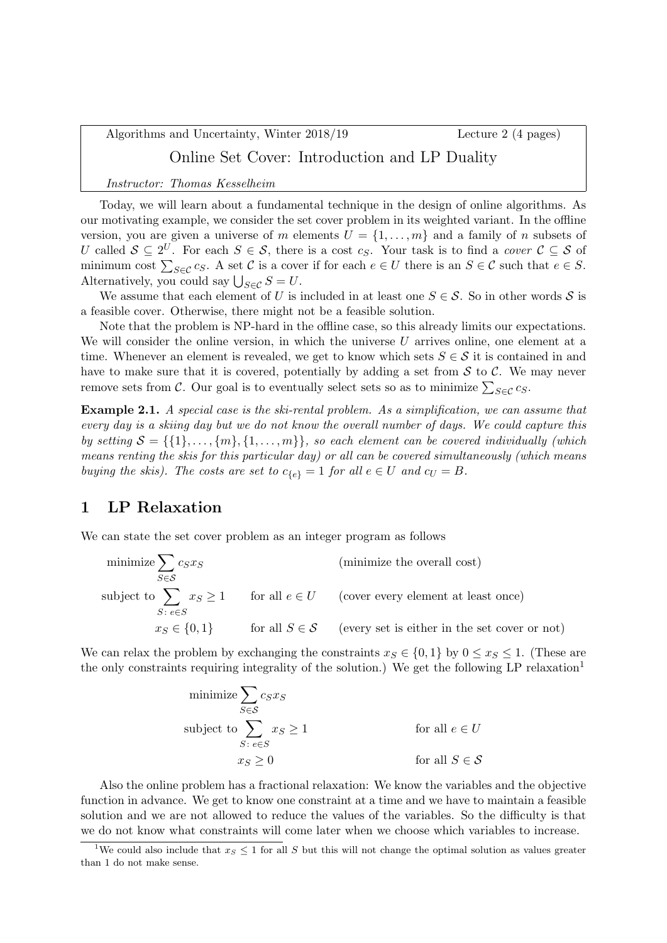Algorithms and Uncertainty, Winter 2018/19 Lecture 2 (4 pages) Online Set Cover: Introduction and LP Duality

Instructor: Thomas Kesselheim

Today, we will learn about a fundamental technique in the design of online algorithms. As our motivating example, we consider the set cover problem in its weighted variant. In the offline version, you are given a universe of m elements  $U = \{1, \ldots, m\}$  and a family of n subsets of U called  $S \subseteq 2^U$ . For each  $S \in \mathcal{S}$ , there is a cost  $c_S$ . Your task is to find a cover  $\mathcal{C} \subseteq \mathcal{S}$  of minimum cost  $\sum_{S \in \mathcal{C}} c_S$ . A set  $\mathcal{C}$  is a cover if for each  $e \in U$  there is an  $S \in \mathcal{C}$  such that  $e \in S$ . Alternatively, you could say  $\bigcup_{S \in \mathcal{C}} S = U$ .

We assume that each element of U is included in at least one  $S \in \mathcal{S}$ . So in other words S is a feasible cover. Otherwise, there might not be a feasible solution.

Note that the problem is NP-hard in the offline case, so this already limits our expectations. We will consider the online version, in which the universe  $U$  arrives online, one element at a time. Whenever an element is revealed, we get to know which sets  $S \in \mathcal{S}$  it is contained in and have to make sure that it is covered, potentially by adding a set from  $S$  to  $C$ . We may never remove sets from C. Our goal is to eventually select sets so as to minimize  $\sum_{S \in \mathcal{C}} c_S$ .

Example 2.1. A special case is the ski-rental problem. As a simplification, we can assume that every day is a skiing day but we do not know the overall number of days. We could capture this by setting  $S = \{\{1\}, \ldots, \{m\}, \{1, \ldots, m\}\}\$ , so each element can be covered individually (which means renting the skis for this particular day) or all can be covered simultaneously (which means buying the skis). The costs are set to  $c_{\{\epsilon\}} = 1$  for all  $e \in U$  and  $c_U = B$ .

# 1 LP Relaxation

We can state the set cover problem as an integer program as follows

| minimize $\sum c_S x_S$<br>$S \in \mathcal{S}$ | (minimize the overall cost)                                                       |
|------------------------------------------------|-----------------------------------------------------------------------------------|
| $S: e \in S$                                   | subject to $\sum x_S \ge 1$ for all $e \in U$ (cover every element at least once) |
| $x_S \in \{0, 1\}$                             | for all $S \in \mathcal{S}$ (every set is either in the set cover or not)         |

We can relax the problem by exchanging the constraints  $x_S \in \{0, 1\}$  by  $0 \le x_S \le 1$ . (These are the only constraints requiring integrality of the solution.) We get the following LP relaxation<sup>1</sup>

$$
\begin{aligned}\n\text{minimize} & \sum_{S \in \mathcal{S}} c_S x_S \\
\text{subject to} & \sum_{S \colon e \in S} x_S \ge 1 \\
& x_S \ge 0\n\end{aligned}\n\qquad \qquad \text{for all } e \in U
$$
\n
$$
\text{for all } S \in \mathcal{S}
$$

Also the online problem has a fractional relaxation: We know the variables and the objective function in advance. We get to know one constraint at a time and we have to maintain a feasible solution and we are not allowed to reduce the values of the variables. So the difficulty is that we do not know what constraints will come later when we choose which variables to increase.

<sup>&</sup>lt;sup>1</sup>We could also include that  $x_S \leq 1$  for all S but this will not change the optimal solution as values greater than 1 do not make sense.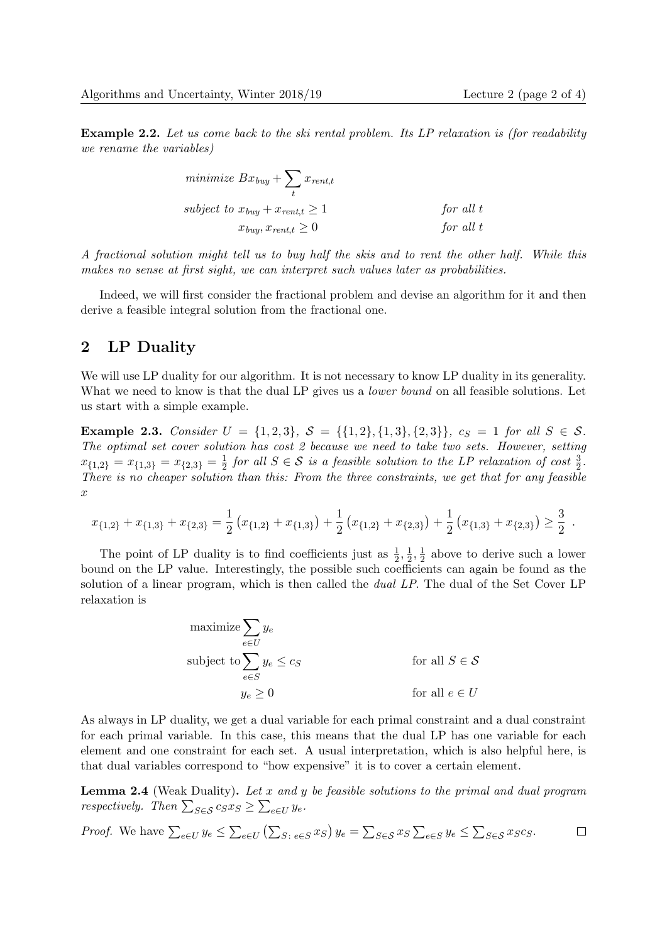Example 2.2. Let us come back to the ski rental problem. Its LP relaxation is (for readability we rename the variables)

| minimize $Bx_{buy} + \sum x_{rent,t}$    |             |
|------------------------------------------|-------------|
| subject to $x_{buy} + x_{rent,t} \geq 1$ | for all $t$ |
| $x_{buy}, x_{rent,t} \geq 0$             | for all $t$ |

A fractional solution might tell us to buy half the skis and to rent the other half. While this makes no sense at first sight, we can interpret such values later as probabilities.

Indeed, we will first consider the fractional problem and devise an algorithm for it and then derive a feasible integral solution from the fractional one.

## 2 LP Duality

We will use LP duality for our algorithm. It is not necessary to know LP duality in its generality. What we need to know is that the dual LP gives us a *lower bound* on all feasible solutions. Let us start with a simple example.

Example 2.3. Consider  $U = \{1, 2, 3\}$ ,  $S = \{\{1, 2\}, \{1, 3\}, \{2, 3\}\}\$ ,  $c_S = 1$  for all  $S \in S$ . The optimal set cover solution has cost 2 because we need to take two sets. However, setting  $x_{\{1,2\}} = x_{\{1,3\}} = x_{\{2,3\}} = \frac{1}{2}$  $\frac{1}{2}$  for all  $S \in \mathcal{S}$  is a feasible solution to the LP relaxation of cost  $\frac{3}{2}$ . There is no cheaper solution than this: From the three constraints, we get that for any feasible  $\boldsymbol{x}$ 

$$
x_{\{1,2\}} + x_{\{1,3\}} + x_{\{2,3\}} = \frac{1}{2} \left( x_{\{1,2\}} + x_{\{1,3\}} \right) + \frac{1}{2} \left( x_{\{1,2\}} + x_{\{2,3\}} \right) + \frac{1}{2} \left( x_{\{1,3\}} + x_{\{2,3\}} \right) \ge \frac{3}{2}.
$$

The point of LP duality is to find coefficients just as  $\frac{1}{2}$ ,  $\frac{1}{2}$  $\frac{1}{2}, \frac{1}{2}$  $\frac{1}{2}$  above to derive such a lower bound on the LP value. Interestingly, the possible such coefficients can again be found as the solution of a linear program, which is then called the *dual LP*. The dual of the Set Cover LP relaxation is

$$
\begin{aligned}\n\text{maximize} & \sum_{e \in U} y_e \\
\text{subject to} & \sum_{e \in S} y_e \leq c_S \\
& y_e \geq 0\n\end{aligned}\n\qquad \qquad \text{for all } S \in \mathcal{S}
$$
\n
$$
g_e \geq 0
$$
\nfor all  $e \in U$ 

As always in LP duality, we get a dual variable for each primal constraint and a dual constraint for each primal variable. In this case, this means that the dual LP has one variable for each element and one constraint for each set. A usual interpretation, which is also helpful here, is that dual variables correspond to "how expensive" it is to cover a certain element.

**Lemma 2.4** (Weak Duality). Let x and y be feasible solutions to the primal and dual program respectively. Then  $\sum_{S \in \mathcal{S}} c_S x_S \geq \sum_{e \in U} y_e$ .

*Proof.* We have 
$$
\sum_{e \in U} y_e \le \sum_{e \in U} (\sum_{S : e \in S} x_S) y_e = \sum_{S \in S} x_S \sum_{e \in S} y_e \le \sum_{S \in S} x_S c_S.
$$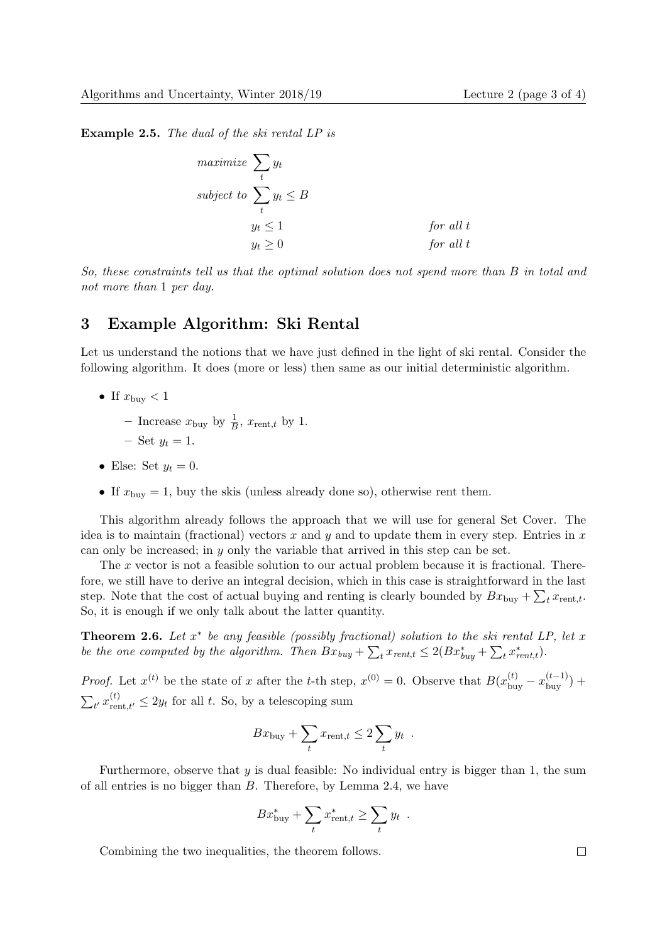Example 2.5. The dual of the ski rental LP is

$$
\begin{aligned}\n\text{maximize } & \sum_t y_t \\
\text{subject to } & \sum_t y_t \leq B \\
& y_t \leq 1 \\
& y_t \geq 0\n\end{aligned}
$$
\n
$$
\begin{aligned}\n\text{for all } t \\
\text{for all } t \\
\text{for all } t\n\end{aligned}
$$

So, these constraints tell us that the optimal solution does not spend more than B in total and not more than 1 per day.

# 3 Example Algorithm: Ski Rental

Let us understand the notions that we have just defined in the light of ski rental. Consider the following algorithm. It does (more or less) then same as our initial deterministic algorithm.

- If  $x_{\text{buy}} < 1$ 
	- Increase  $x_{\text{buy}}$  by  $\frac{1}{B}$ ,  $x_{\text{rent},t}$  by 1.
	- $-$  Set  $y_t = 1$ .
- Else: Set  $y_t = 0$ .
- If  $x_{\text{buy}} = 1$ , buy the skis (unless already done so), otherwise rent them.

This algorithm already follows the approach that we will use for general Set Cover. The idea is to maintain (fractional) vectors x and y and to update them in every step. Entries in  $x$ can only be increased; in y only the variable that arrived in this step can be set.

The x vector is not a feasible solution to our actual problem because it is fractional. Therefore, we still have to derive an integral decision, which in this case is straightforward in the last step. Note that the cost of actual buying and renting is clearly bounded by  $Bx_{\text{buy}} + \sum_{t} x_{\text{rent},t}$ . So, it is enough if we only talk about the latter quantity.

**Theorem 2.6.** Let  $x^*$  be any feasible (possibly fractional) solution to the ski rental LP, let x be the one computed by the algorithm. Then  $Bx_{buy} + \sum_{t} x_{rent,t} \leq 2(Bx_{buy}^* + \sum_{t} x_{rent,t}^*)$ .

*Proof.* Let  $x^{(t)}$  be the state of x after the t-th step,  $x^{(0)} = 0$ . Observe that  $B(x_{\text{buy}}^{(t)} - x_{\text{buy}}^{(t-1)})$  +  $\sum_{t'} x_{\text{rent},t'}^{(t)} \leq 2y_t$  for all t. So, by a telescoping sum

$$
Bx_{\text{buy}} + \sum_{t} x_{\text{rent},t} \leq 2 \sum_{t} y_t .
$$

Furthermore, observe that  $y$  is dual feasible: No individual entry is bigger than 1, the sum of all entries is no bigger than B. Therefore, by Lemma 2.4, we have

$$
Bx_{\text{buy}}^* + \sum_t x_{\text{rent},t}^* \ge \sum_t y_t .
$$

Combining the two inequalities, the theorem follows.

 $\Box$